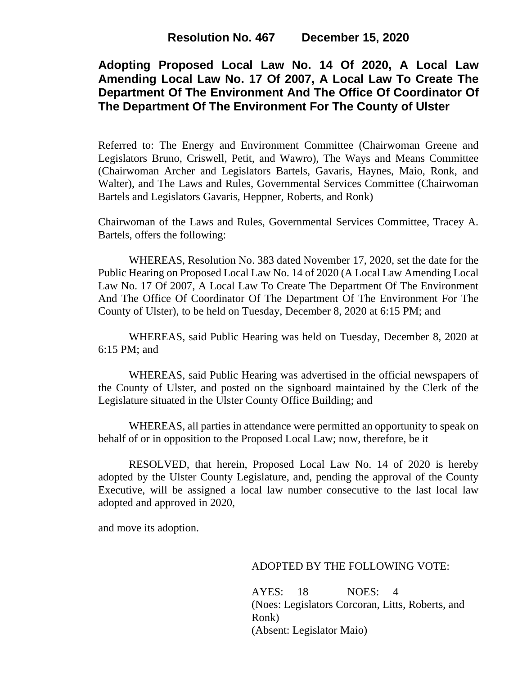# **Adopting Proposed Local Law No. 14 Of 2020, A Local Law Amending Local Law No. 17 Of 2007, A Local Law To Create The Department Of The Environment And The Office Of Coordinator Of The Department Of The Environment For The County of Ulster**

Referred to: The Energy and Environment Committee (Chairwoman Greene and Legislators Bruno, Criswell, Petit, and Wawro), The Ways and Means Committee (Chairwoman Archer and Legislators Bartels, Gavaris, Haynes, Maio, Ronk, and Walter), and The Laws and Rules, Governmental Services Committee (Chairwoman Bartels and Legislators Gavaris, Heppner, Roberts, and Ronk)

Chairwoman of the Laws and Rules, Governmental Services Committee, Tracey A. Bartels, offers the following:

WHEREAS, Resolution No. 383 dated November 17, 2020, set the date for the Public Hearing on Proposed Local Law No. 14 of 2020 (A Local Law Amending Local Law No. 17 Of 2007, A Local Law To Create The Department Of The Environment And The Office Of Coordinator Of The Department Of The Environment For The County of Ulster), to be held on Tuesday, December 8, 2020 at 6:15 PM; and

WHEREAS, said Public Hearing was held on Tuesday, December 8, 2020 at 6:15 PM; and

WHEREAS, said Public Hearing was advertised in the official newspapers of the County of Ulster, and posted on the signboard maintained by the Clerk of the Legislature situated in the Ulster County Office Building; and

WHEREAS, all parties in attendance were permitted an opportunity to speak on behalf of or in opposition to the Proposed Local Law; now, therefore, be it

RESOLVED, that herein, Proposed Local Law No. 14 of 2020 is hereby adopted by the Ulster County Legislature, and, pending the approval of the County Executive, will be assigned a local law number consecutive to the last local law adopted and approved in 2020,

and move its adoption.

## ADOPTED BY THE FOLLOWING VOTE:

AYES: 18 NOES: 4 (Noes: Legislators Corcoran, Litts, Roberts, and Ronk) (Absent: Legislator Maio)